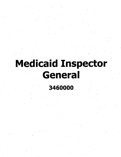# **Medicaid Inspector Generai**

**3460000**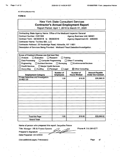**AC 3272-S (Effective 4/12)**

t,

#### FORM B

# New York State Consultant Services **Contractor's Annual Employment Report** Report Period: April 1,2019 to March 31. 2020

|                                                                                 | Contracting State Agency Name: Office of the Medicaid Inspector General |                               |                           |  |  |  |
|---------------------------------------------------------------------------------|-------------------------------------------------------------------------|-------------------------------|---------------------------|--|--|--|
| Contract Number: C201302<br><b>Agency Business Unit: MIG01</b>                  |                                                                         |                               |                           |  |  |  |
| Contract Term: 08/30/2018 to 08/29/2019<br>Agency Department ID: 3460000        |                                                                         |                               |                           |  |  |  |
| Contractor Name: TruView BSI, LLC                                               |                                                                         |                               |                           |  |  |  |
| Contractor Address: 25 Newbridge Road, Hicksville, NY 11801                     |                                                                         |                               |                           |  |  |  |
| Description of Services Being Provided: Medicaid Fraud Detection/Investigation. |                                                                         |                               |                           |  |  |  |
|                                                                                 |                                                                         |                               |                           |  |  |  |
|                                                                                 |                                                                         |                               |                           |  |  |  |
| Scope of Contract (Choose one that best fits):                                  |                                                                         |                               |                           |  |  |  |
| $\Box$ Evaluation<br>$\Box$ Analysis                                            | $\Box$ Research                                                         | Training                      |                           |  |  |  |
| Data Processing<br>□ Computer Programming                                       |                                                                         | Other IT consulting           |                           |  |  |  |
| <b>Architect Services</b><br>Engineering                                        | Surveying<br>Ιł                                                         | <b>Environmental Services</b> |                           |  |  |  |
| <b>Health Services</b><br>Mental Health Services                                |                                                                         |                               |                           |  |  |  |
| Accounting<br>Auditing                                                          | $\Box$ Paralegal<br>Legal                                               | $\boxtimes$ Other Consulting  |                           |  |  |  |
|                                                                                 | Number of                                                               | Number of                     | <b>Amount Payable</b>     |  |  |  |
| <b>Employment Category</b>                                                      | <b>Employees</b>                                                        | <b>Hours Worked</b>           | <b>Under the Contract</b> |  |  |  |
| <b>Private Detectives and Investigators</b><br>33-9021.00                       | 1.00 <sub>1</sub>                                                       | 816.00                        | \$30,098.00               |  |  |  |
|                                                                                 |                                                                         |                               |                           |  |  |  |
|                                                                                 |                                                                         |                               |                           |  |  |  |
|                                                                                 |                                                                         |                               |                           |  |  |  |
|                                                                                 |                                                                         |                               |                           |  |  |  |
|                                                                                 |                                                                         |                               |                           |  |  |  |
|                                                                                 |                                                                         |                               |                           |  |  |  |
|                                                                                 |                                                                         |                               |                           |  |  |  |
|                                                                                 |                                                                         |                               |                           |  |  |  |
|                                                                                 |                                                                         |                               |                           |  |  |  |
|                                                                                 |                                                                         |                               |                           |  |  |  |
|                                                                                 |                                                                         |                               |                           |  |  |  |
|                                                                                 |                                                                         |                               |                           |  |  |  |
|                                                                                 |                                                                         |                               |                           |  |  |  |
| <b>Total this Page</b>                                                          | 1.00                                                                    | 816.00                        | \$30,098.92               |  |  |  |

Name of person who prepared this report; Jacqueline Petrow

Title; Manager - HR & Finance Systems

Preparer's Signature:

Date Prepared: 05/12/2020

(Use additional pages, if necessary) example and the contract of the page of the Page of

Phone#: 516-289-0277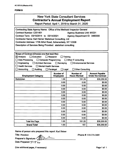#### **FORM B**

| <b>New York State Consultant Services</b> |  |  |
|-------------------------------------------|--|--|
| Contractor's Annual Employment Report     |  |  |

Report Period: April 1,2019 to March 31,2020

| Contracting State Agency Name: Office of the Medicaid Inspector General<br><b>Contract Number: C201401</b><br><b>Agency Business Unit: MIG01</b><br>Contract Term: 03/15/2014 to 03/14/2021<br>Agency Department ID: 3460000<br><b>Contractor Name: Karl Heiner Statistical Consulting, Ltd</b><br>Contractor Address: 1739 Athol Road, Schenectady, NY 12308<br>Description of Services Being Provided: statistical consulting       |      |        |             |  |  |
|---------------------------------------------------------------------------------------------------------------------------------------------------------------------------------------------------------------------------------------------------------------------------------------------------------------------------------------------------------------------------------------------------------------------------------------|------|--------|-------------|--|--|
| Scope of Contract (Choose one that best fits):<br>$\boxtimes$ Analysis<br>$\Box$ Evaluation<br>Research<br>Training<br>Data Processing<br>□ Computer Programming<br>Other IT consulting<br>Engineering<br><b>Architect Services</b><br>$\Box$ Surveying<br><b>Environmental Services</b><br><b>Health Services</b><br>Mental Health Services<br><b>Accounting</b><br>$\Box$ Legal<br>Auditing<br>Paralegal<br><b>Other Consulting</b> |      |        |             |  |  |
| <b>Number of</b><br><b>Number of</b><br><b>Amount Payable</b><br><b>Hours Worked</b><br><b>Under the Contract</b><br><b>Employment Category</b><br><b>Employees</b>                                                                                                                                                                                                                                                                   |      |        |             |  |  |
| <b>Statistician</b>                                                                                                                                                                                                                                                                                                                                                                                                                   | 1.00 | 151.25 | \$30,250.00 |  |  |
|                                                                                                                                                                                                                                                                                                                                                                                                                                       | 0.00 | 0.00   | \$0.00      |  |  |
|                                                                                                                                                                                                                                                                                                                                                                                                                                       | 0.00 | 0.00   | \$0.00      |  |  |
|                                                                                                                                                                                                                                                                                                                                                                                                                                       | 0.00 | 0.00   | \$0.00      |  |  |
|                                                                                                                                                                                                                                                                                                                                                                                                                                       | 0.00 | 0.00   | \$0.00      |  |  |
|                                                                                                                                                                                                                                                                                                                                                                                                                                       | 0.00 | 0.00   | \$0.00      |  |  |
|                                                                                                                                                                                                                                                                                                                                                                                                                                       | 0.00 | 0.00   | \$0.00      |  |  |
|                                                                                                                                                                                                                                                                                                                                                                                                                                       | 0.00 | 0.00   | \$0.00      |  |  |
|                                                                                                                                                                                                                                                                                                                                                                                                                                       | 0.00 | 0.00   | \$0.00      |  |  |
|                                                                                                                                                                                                                                                                                                                                                                                                                                       | 0.00 | 0.00   | \$0.00      |  |  |
|                                                                                                                                                                                                                                                                                                                                                                                                                                       | 0.00 | 0.00   | \$0.00      |  |  |
|                                                                                                                                                                                                                                                                                                                                                                                                                                       | 0.00 | 0.00   | \$0.00      |  |  |
|                                                                                                                                                                                                                                                                                                                                                                                                                                       | 0.00 | 0.00   | \$0.00      |  |  |
| <b>Total this Page</b>                                                                                                                                                                                                                                                                                                                                                                                                                | 1.00 | 151.25 | \$30,250.00 |  |  |
| <b>Grand Total</b>                                                                                                                                                                                                                                                                                                                                                                                                                    | 1.00 | 151    | \$30,250.00 |  |  |

**Name of person who prepared this report: Karl Heiner**

**Title: President**  $\overline{c}$ **Preparer's Signature: Date Prepared:**  $57/72$ 

**Phone #: 518-374-3689**

**(Use additional pages, if necessary) Page <sup>1</sup> of <sup>1</sup>**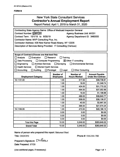#### **FORM B**

# New York State Consultant Services **Contractor's Annual Employment Report**

Report Period: April 1, 2019 to March 31, 2020

| Contracting State Agency Name: Office of Medicaid Inspector General<br>Contract Number: PH65780<br><b>Agency Business Unit: MIG01</b><br>Contract Term: 10/1/18 to 6/30/19<br>Agency Department ID: 3460000<br>Contractor Name: MVP Consulting Plus, Inc.<br>Contractor Address: 435 New Karner Road Albany, NY 12205<br>Description of Services Being Provided: IT Consulting (Various)                                                |       |          |              |  |  |
|-----------------------------------------------------------------------------------------------------------------------------------------------------------------------------------------------------------------------------------------------------------------------------------------------------------------------------------------------------------------------------------------------------------------------------------------|-------|----------|--------------|--|--|
| Scope of Contract (Choose one that best fits):<br>$\sqcap$ Evaluation<br>Research<br>Analysis<br>Training<br>Data Processing<br>□ Computer Programming<br>$\boxtimes$ Other IT consulting<br>Engineering<br><b>Architect Services</b><br>$\Box$ Surveying<br><b>Environmental Services</b><br><b>Health Services</b><br>Mental Health Services<br>$\Box$ Legal<br>Accounting<br>Auditing<br>$\Box$ Paralegal<br><b>Other Consulting</b> |       |          |              |  |  |
| <b>Number of</b><br>Number of<br><b>Amount Payable</b><br><b>Hours Worked</b><br><b>Under the Contract</b><br><b>Employment Category</b><br><b>Employees</b>                                                                                                                                                                                                                                                                            |       |          |              |  |  |
| 15-1131.00<br>1.00                                                                                                                                                                                                                                                                                                                                                                                                                      |       | 517.00   | \$38,738.81  |  |  |
|                                                                                                                                                                                                                                                                                                                                                                                                                                         | 1.00  | 18.00    | \$1,348.74   |  |  |
|                                                                                                                                                                                                                                                                                                                                                                                                                                         | 1.00  |          | \$31,770.32  |  |  |
|                                                                                                                                                                                                                                                                                                                                                                                                                                         | 1.00  | 494.50   | \$37,052.89  |  |  |
|                                                                                                                                                                                                                                                                                                                                                                                                                                         | 1.00  | 16.00    | \$1,198.88   |  |  |
|                                                                                                                                                                                                                                                                                                                                                                                                                                         | 1.00  | 489.00   | \$36,640.77  |  |  |
|                                                                                                                                                                                                                                                                                                                                                                                                                                         | 1.00  | 509.00   | \$38,139.37  |  |  |
|                                                                                                                                                                                                                                                                                                                                                                                                                                         | 1.00  |          | \$2,997.20   |  |  |
|                                                                                                                                                                                                                                                                                                                                                                                                                                         | 1.00  | 368.00   | \$27,574.24  |  |  |
| 15-1199.09                                                                                                                                                                                                                                                                                                                                                                                                                              | 1.00  | 473.50   | \$48,188.10  |  |  |
|                                                                                                                                                                                                                                                                                                                                                                                                                                         | 0.00  | 0.00     | \$0.00       |  |  |
|                                                                                                                                                                                                                                                                                                                                                                                                                                         | 0.00  | 0.00     | \$0.00       |  |  |
|                                                                                                                                                                                                                                                                                                                                                                                                                                         | 0.00  | 0.00     | \$0.00       |  |  |
| <b>Total this Page</b>                                                                                                                                                                                                                                                                                                                                                                                                                  | 10.00 | 3,349.00 | \$263,649.32 |  |  |
| <b>Grand Total</b>                                                                                                                                                                                                                                                                                                                                                                                                                      | 10.00 | 3,349.00 | \$263,649.32 |  |  |

Name of person who prepared this report; Ilakumari Patel Title; CEO/CFO

Phone #; 518-218-1700

Preparer's Signature:  $IN$  *ater* Date Prepared; 5/7/20

(Use additional pages, if necessary) example 2 and 2 and 2 and 2 and 2 and 2 and 2 and 2 and 2 and 2 and 2 and 2 and 2 and 2 and 2 and 2 and 2 and 2 and 2 and 2 and 2 and 2 and 2 and 2 and 2 and 2 and 2 and 2 and 2 and 2 a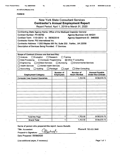**AC 3272-S (Effective 4/12)**

#### **FORMS**

| <b>New York State Consultant Services</b><br><b>Contractor's Annual Employment Report</b><br>Report Period: April 1, 2019 to March 31, 2020                                                                                                                                                                                                                                                                                                         |                                      |                                                                     |                                                    |  |  |  |
|-----------------------------------------------------------------------------------------------------------------------------------------------------------------------------------------------------------------------------------------------------------------------------------------------------------------------------------------------------------------------------------------------------------------------------------------------------|--------------------------------------|---------------------------------------------------------------------|----------------------------------------------------|--|--|--|
| Contracting State Agency Name: Office of the Medicaid Inspector General<br>Contract Number: PH 65782<br>Contract Term: 11/01/2012 to 06/30/2019<br>Contractor Name: PSI International Inc.<br>Contractor Address: 11200 Waples Mill Rd, Suite 200 Fairfax, VA 22030<br>Description of Services Being Provided: IT Services                                                                                                                          |                                      | <b>Agency Business Unit: MIG01</b><br>Agency Department ID: 3460000 |                                                    |  |  |  |
| Scope of Contract (Choose one that best fits):<br>Training<br>$\Box$ Analysis<br>$\Box$ Evaluation<br>$\Box$ Research<br>Data Processing<br>□ Computer Programming<br>$\boxtimes$ Other IT consulting<br>Engineering<br>Architect Services<br>$\Box$ Surveying<br><b>Environmental Services</b><br>Health Services<br>$\Box$ Mental Health Services<br><b>Other Consulting</b><br>$\Box$ Accounting<br>Auditing<br>$\Box$ Paralegal<br>$\Box$ Legal |                                      |                                                                     |                                                    |  |  |  |
| <b>Employment Category</b>                                                                                                                                                                                                                                                                                                                                                                                                                          | <b>Number of</b><br><b>Employees</b> | <b>Number of</b><br><b>Hours Worked</b>                             | <b>Amount Payable</b><br><b>Under the Contract</b> |  |  |  |
| <b>Computer User Support Specialists</b>                                                                                                                                                                                                                                                                                                                                                                                                            | 1                                    | 1,703.50                                                            | \$138,579.73                                       |  |  |  |
|                                                                                                                                                                                                                                                                                                                                                                                                                                                     |                                      |                                                                     |                                                    |  |  |  |
|                                                                                                                                                                                                                                                                                                                                                                                                                                                     |                                      |                                                                     |                                                    |  |  |  |
|                                                                                                                                                                                                                                                                                                                                                                                                                                                     |                                      |                                                                     |                                                    |  |  |  |
|                                                                                                                                                                                                                                                                                                                                                                                                                                                     |                                      |                                                                     |                                                    |  |  |  |
|                                                                                                                                                                                                                                                                                                                                                                                                                                                     |                                      |                                                                     |                                                    |  |  |  |
|                                                                                                                                                                                                                                                                                                                                                                                                                                                     |                                      |                                                                     |                                                    |  |  |  |
| \$138,579.73<br>1,703.50<br><b>Total this Page</b><br>1                                                                                                                                                                                                                                                                                                                                                                                             |                                      |                                                                     |                                                    |  |  |  |
|                                                                                                                                                                                                                                                                                                                                                                                                                                                     |                                      |                                                                     |                                                    |  |  |  |

**Name of person who prepared this report; Jasmin Bertulfo**

 $B$ estivel)

**Title: Accountant**

**Preparer's Signature;**

**Date Prepared: 05/08/2020**

(Use additional pages, if necessary) example 2 and 2 and 2 and 2 and 2 and 2 and 2 and 2 and 2 and 2 and 2 and 2 and 2 and 2 and 2 and 2 and 2 and 2 and 2 and 2 and 2 and 2 and 2 and 2 and 2 and 2 and 2 and 2 and 2 and 2 a

**Phone** #: 703.621.5849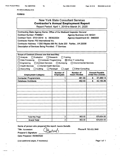**AC 3272-S (Effective 4/12)**

#### **FORMB**

| <b>New York State Consultant Services</b><br><b>Contractor's Annual Employment Report</b><br>Report Period: April 1, 2019 to March 31, 2020                                                                                                                                                                                                                                                                                                                    |                                                                                                                                       |        |    |             |  |  |
|----------------------------------------------------------------------------------------------------------------------------------------------------------------------------------------------------------------------------------------------------------------------------------------------------------------------------------------------------------------------------------------------------------------------------------------------------------------|---------------------------------------------------------------------------------------------------------------------------------------|--------|----|-------------|--|--|
| Contracting State Agency Name: Office of the Medicaid Inspector General<br>Contract Number: PH68621<br><b>Agency Business Unit: MIG01</b><br>Contract Term: 07/01/2019 to 06/30/2024<br>Agency Department ID: 3460000<br>Contractor Name: PSI International Inc.<br>Contractor Address: 11200 Waples Mill Rd, Suite 200 Fairfax, VA 22030<br>Description of Services Being Provided: IT Services                                                               |                                                                                                                                       |        |    |             |  |  |
| Scope of Contract (Choose one that best fits):<br>Analysis<br>$\Box$ Evaluation<br>$\Box$ Research<br>Training<br>Data Processing<br>$\Box$ Computer Programming<br>$\boxtimes$ Other IT consulting<br>Engineering<br><b>Architect Services</b><br>Surveying<br><b>Environmental Services</b><br>H<br><b>Health Services</b><br>$\Box$ Mental Health Services $\cdot$<br>$\Box$ Legal<br>Other Consulting<br>Accounting<br>$\Box$ Auditing<br>$\Box$ Paralegal |                                                                                                                                       |        |    |             |  |  |
| <b>Employment Category</b>                                                                                                                                                                                                                                                                                                                                                                                                                                     | <b>Number of</b><br><b>Number of</b><br><b>Amount Payable</b><br><b>Under the Contract</b><br><b>Hours Worked</b><br><b>Employees</b> |        |    |             |  |  |
| <b>Computer Programmers</b>                                                                                                                                                                                                                                                                                                                                                                                                                                    |                                                                                                                                       | 481.00 | S. | 37,489.14   |  |  |
|                                                                                                                                                                                                                                                                                                                                                                                                                                                                |                                                                                                                                       |        | S. |             |  |  |
| 42,165.36<br>482.00<br><b>Database Architects</b>                                                                                                                                                                                                                                                                                                                                                                                                              |                                                                                                                                       |        |    |             |  |  |
| <b>Total this Page</b>                                                                                                                                                                                                                                                                                                                                                                                                                                         | $\overline{\mathbf{c}}$                                                                                                               | 963.00 |    | \$79,654.50 |  |  |
| <b>Grand Total</b>                                                                                                                                                                                                                                                                                                                                                                                                                                             | 2                                                                                                                                     | 963.00 |    | \$79,654.50 |  |  |

**Name of person who prepared this report: Jasmin Bertulfo**

Bertu

**Title: Accountant**

**Phone** #: 703.621.5849

**Preparer's Signature:** \_\_\_\_

**Date Prepared: 05/08/2020**

(Use additional pages, if necessary) example the contract of the Page 1 of 1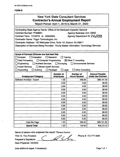## **FORM B**

| <b>New York State Consultant Services</b><br><b>Contractor's Annual Employment Report</b><br>Report Period: April 1, 2019 to March 31, 2020                                                                                                                                                                                                                                                                                                                         |      |        |             |  |  |
|---------------------------------------------------------------------------------------------------------------------------------------------------------------------------------------------------------------------------------------------------------------------------------------------------------------------------------------------------------------------------------------------------------------------------------------------------------------------|------|--------|-------------|--|--|
| Contracting State Agency Name: Office of the Medicaid Inspector General<br><b>Contract Number: PH68631</b><br><b>Agency Business Unit: OMIG</b><br>Agency Department ID: 3460000<br>Contract Term: 7/1/2019 to 6/30/2024<br>Contractor Name: Trigyn Technologies, Inc.<br>Contractor Address: 100 Metroplex Drive, Suite 101, Edison, NJ 08817<br>Description of Services Being Provided: Hourly Based Information Technology Services                              |      |        |             |  |  |
| Scope of Contract (Choose one that best fits):<br>$\Box$ Analysis<br>$\Box$ Evaluation<br>$\Box$ Research<br>Training<br>□ Computer Programming<br>$\boxtimes$ Other IT consulting<br>□ Data Processing<br>$\square$ Engineering<br>□ Architect Services<br>$\Box$ Surveying<br><b>Environmental Services</b><br>$\Box$ Health Services<br>Mental Health Services<br>$\Box$ Accounting<br>Auditing<br>$\Box$ Legal<br>Other Consulting<br>Paralegal<br>$\mathsf{L}$ |      |        |             |  |  |
| <b>Number of</b><br><b>Number of</b><br><b>Amount Payable</b><br><b>Under the Contract</b><br><b>Employees</b><br><b>Hours Worked</b><br><b>Employment Category</b>                                                                                                                                                                                                                                                                                                 |      |        |             |  |  |
| <b>Software Architect - Expert</b>                                                                                                                                                                                                                                                                                                                                                                                                                                  | 1.00 | 456.00 | \$36,101.52 |  |  |
|                                                                                                                                                                                                                                                                                                                                                                                                                                                                     | 0.00 | 0.00   | \$0.00      |  |  |
|                                                                                                                                                                                                                                                                                                                                                                                                                                                                     | 0.00 | 0.00   | \$0.00      |  |  |
|                                                                                                                                                                                                                                                                                                                                                                                                                                                                     | 0.00 | 0.00   | \$0.00      |  |  |
|                                                                                                                                                                                                                                                                                                                                                                                                                                                                     | 0.00 | 0.00   | \$0.00      |  |  |
|                                                                                                                                                                                                                                                                                                                                                                                                                                                                     | 0.00 | 0.00   | \$0.00      |  |  |
|                                                                                                                                                                                                                                                                                                                                                                                                                                                                     | 0.00 | 0.00   | \$0.00      |  |  |
|                                                                                                                                                                                                                                                                                                                                                                                                                                                                     | 0.00 | 0.00   | \$0.00      |  |  |
|                                                                                                                                                                                                                                                                                                                                                                                                                                                                     | 0.00 | 0.00   | \$0.00      |  |  |
|                                                                                                                                                                                                                                                                                                                                                                                                                                                                     | 0.00 | 0.00   | \$0.00      |  |  |
|                                                                                                                                                                                                                                                                                                                                                                                                                                                                     | 0.00 | 0.00   | \$0.00      |  |  |
|                                                                                                                                                                                                                                                                                                                                                                                                                                                                     | 0.00 | 0.00   | \$0.00      |  |  |
|                                                                                                                                                                                                                                                                                                                                                                                                                                                                     | 0.00 | 0.00   | \$0.00      |  |  |
| <b>Total this Page</b>                                                                                                                                                                                                                                                                                                                                                                                                                                              | 1.00 | 456.00 | \$36,101.52 |  |  |
| 1.00<br>456.00<br>\$36,101.52<br><b>Grand Total</b>                                                                                                                                                                                                                                                                                                                                                                                                                 |      |        |             |  |  |

**Name of person who prepared this report:** Thomas Gordon

Title: Sr. Vice President **Preparer's Signature: \_**

Le -

**Date Prepared:** 5/6/2020

(Use additional pages, if necessary) example 2 and 2 and 2 and 2 and 2 and 2 and 2 and 2 and 2 and 2 and 2 and 2 and 2 and 2 and 2 and 2 and 2 and 2 and 2 and 2 and 2 and 2 and 2 and 2 and 2 and 2 and 2 and 2 and 2 and 2 a

Phone #: 732-777-4608